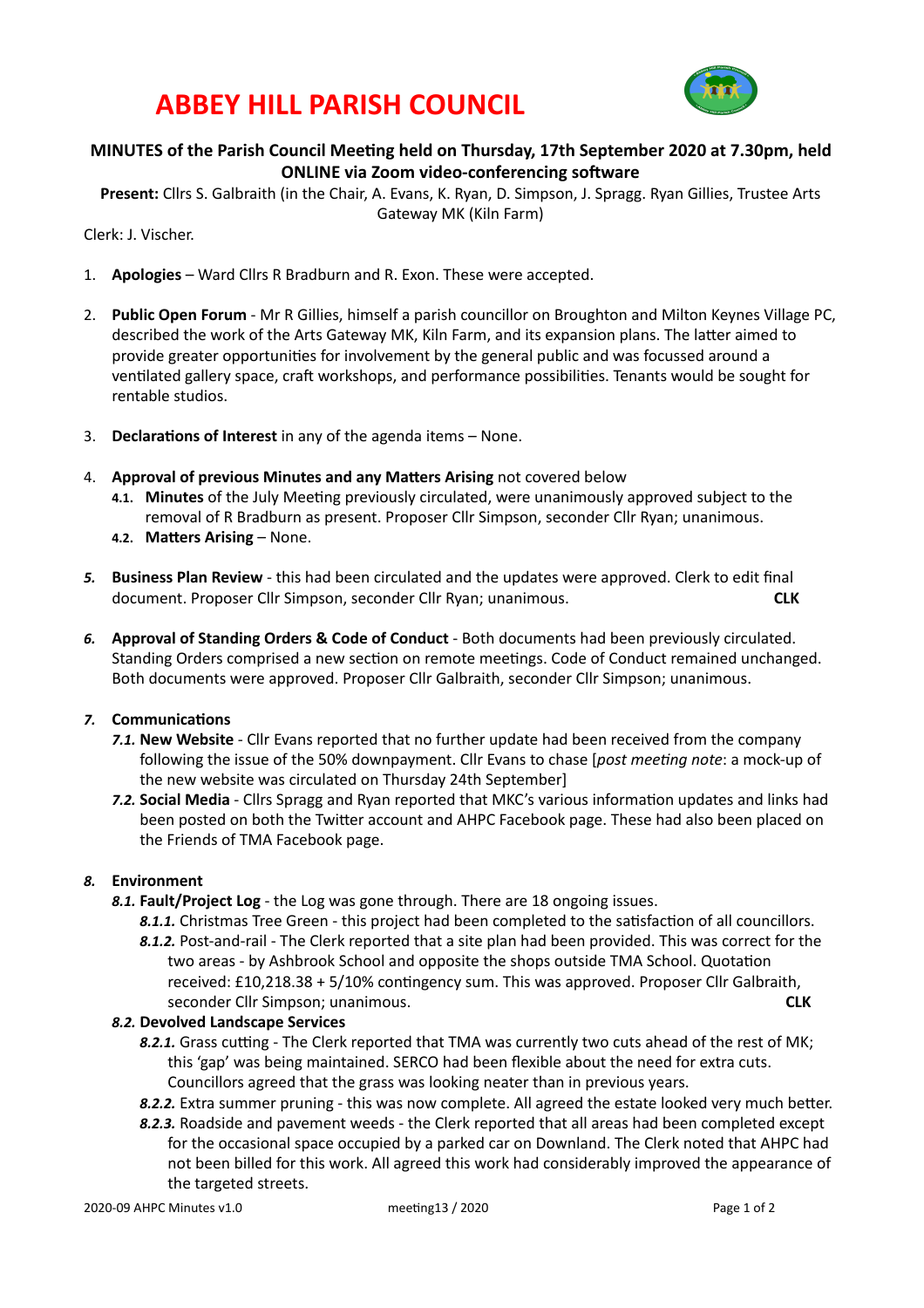## **ABBEY HILL PARISH COUNCIL**



### **MINUTES** of the Parish Council Meeting held on Thursday, 17th September 2020 at 7.30pm, held **ONLINE** via Zoom video-conferencing software

Present: Cllrs S. Galbraith (in the Chair, A. Evans, K. Ryan, D. Simpson, J. Spragg. Ryan Gillies, Trustee Arts Gateway MK (Kiln Farm)

Clerk: J. Vischer.

- 1. **Apologies** Ward Cllrs R Bradburn and R. Exon. These were accepted.
- 2. **Public Open Forum** Mr R Gillies, himself a parish councillor on Broughton and Milton Keynes Village PC, described the work of the Arts Gateway MK, Kiln Farm, and its expansion plans. The latter aimed to provide greater opportunities for involvement by the general public and was focussed around a ventilated gallery space, craft workshops, and performance possibilities. Tenants would be sought for rentable studios.
- 3. **Declarations of Interest** in any of the agenda items None.
- 4. **Approval of previous Minutes and any Matters Arising** not covered below
	- **4.1. Minutes** of the July Meeting previously circulated, were unanimously approved subject to the removal of R Bradburn as present. Proposer Cllr Simpson, seconder Cllr Ryan; unanimous.
	- **4.2. Matters Arising None.**
- 5. **Business Plan Review** this had been circulated and the updates were approved. Clerk to edit final document. Proposer Cllr Simpson, seconder Cllr Ryan; unanimous. **CLK**
- 6. Approval of Standing Orders & Code of Conduct Both documents had been previously circulated. Standing Orders comprised a new section on remote meetings. Code of Conduct remained unchanged. Both documents were approved. Proposer Cllr Galbraith, seconder Cllr Simpson; unanimous.

### **7.** Communications

- **7.1. New Website** Cllr Evans reported that no further update had been received from the company following the issue of the 50% downpayment. Cllr Evans to chase [*post meeting note*: a mock-up of the new website was circulated on Thursday 24th September]
- 7.2. Social Media Cllrs Spragg and Ryan reported that MKC's various information updates and links had been posted on both the Twitter account and AHPC Facebook page. These had also been placed on the Friends of TMA Facebook page.

### 8. **Environment**

- **8.1. Fault/Project Log** the Log was gone through. There are 18 ongoing issues.
	- 8.1.1. Christmas Tree Green this project had been completed to the satisfaction of all councillors.
	- 8.1.2. Post-and-rail The Clerk reported that a site plan had been provided. This was correct for the two areas - by Ashbrook School and opposite the shops outside TMA School. Quotation received: £10,218.38 + 5/10% contingency sum. This was approved. Proposer Cllr Galbraith, seconder Cllr Simpson; unanimous. **According the CLK** CLK

### *8.2.* **Devolved Landscape Services**

- 8.2.1. Grass cutting The Clerk reported that TMA was currently two cuts ahead of the rest of MK; this 'gap' was being maintained. SERCO had been flexible about the need for extra cuts. Councillors agreed that the grass was looking neater than in previous years.
- 8.2.2. Extra summer pruning this was now complete. All agreed the estate looked very much better.
- 8.2.3. Roadside and pavement weeds the Clerk reported that all areas had been completed except for the occasional space occupied by a parked car on Downland. The Clerk noted that AHPC had not been billed for this work. All agreed this work had considerably improved the appearance of the targeted streets.